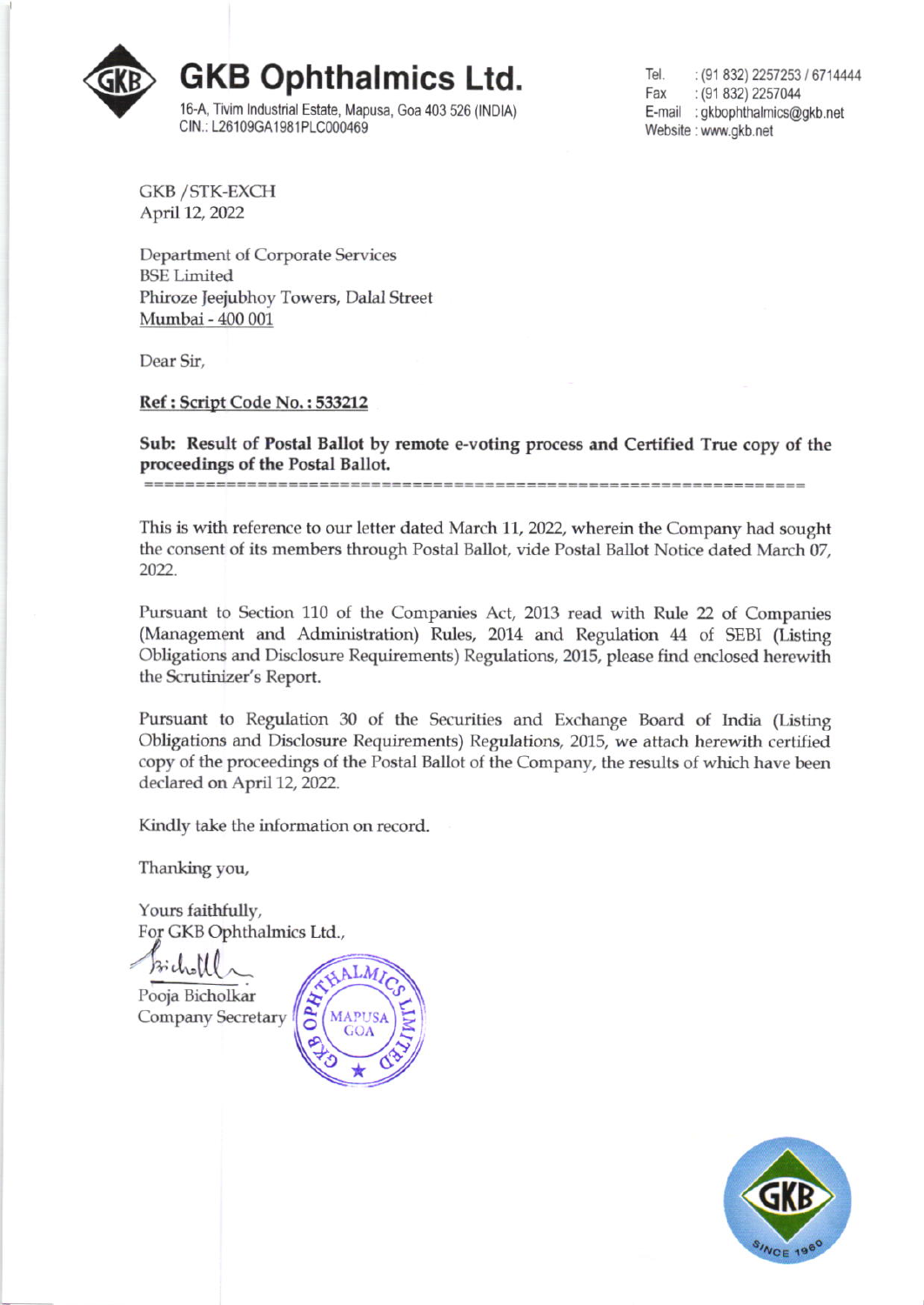

Tel. : (91 832) 2257253 / 6714444 Fax : (91 832) 2257044 E-mail : gkbophthalmics@gkb.net Website: www.gkb.net

**GKB / STK-EXCH** April 12, 2022

**Department of Corporate Services BSE** Limited Phiroze Jeejubhoy Towers, Dalal Street Mumbai - 400 001

Dear Sir,

Ref: Script Code No.: 533212

Sub: Result of Postal Ballot by remote e-voting process and Certified True copy of the proceedings of the Postal Ballot.

This is with reference to our letter dated March 11, 2022, wherein the Company had sought the consent of its members through Postal Ballot, vide Postal Ballot Notice dated March 07, 2022.

Pursuant to Section 110 of the Companies Act, 2013 read with Rule 22 of Companies (Management and Administration) Rules, 2014 and Regulation 44 of SEBI (Listing Obligations and Disclosure Requirements) Regulations, 2015, please find enclosed herewith the Scrutinizer's Report.

Pursuant to Regulation 30 of the Securities and Exchange Board of India (Listing Obligations and Disclosure Requirements) Regulations, 2015, we attach herewith certified copy of the proceedings of the Postal Ballot of the Company, the results of which have been declared on April 12, 2022.

Kindly take the information on record.

Thanking you,

Yours faithfully, For GKB Ophthalmics Ltd.,

Pooja Bicholkar Company Secretary



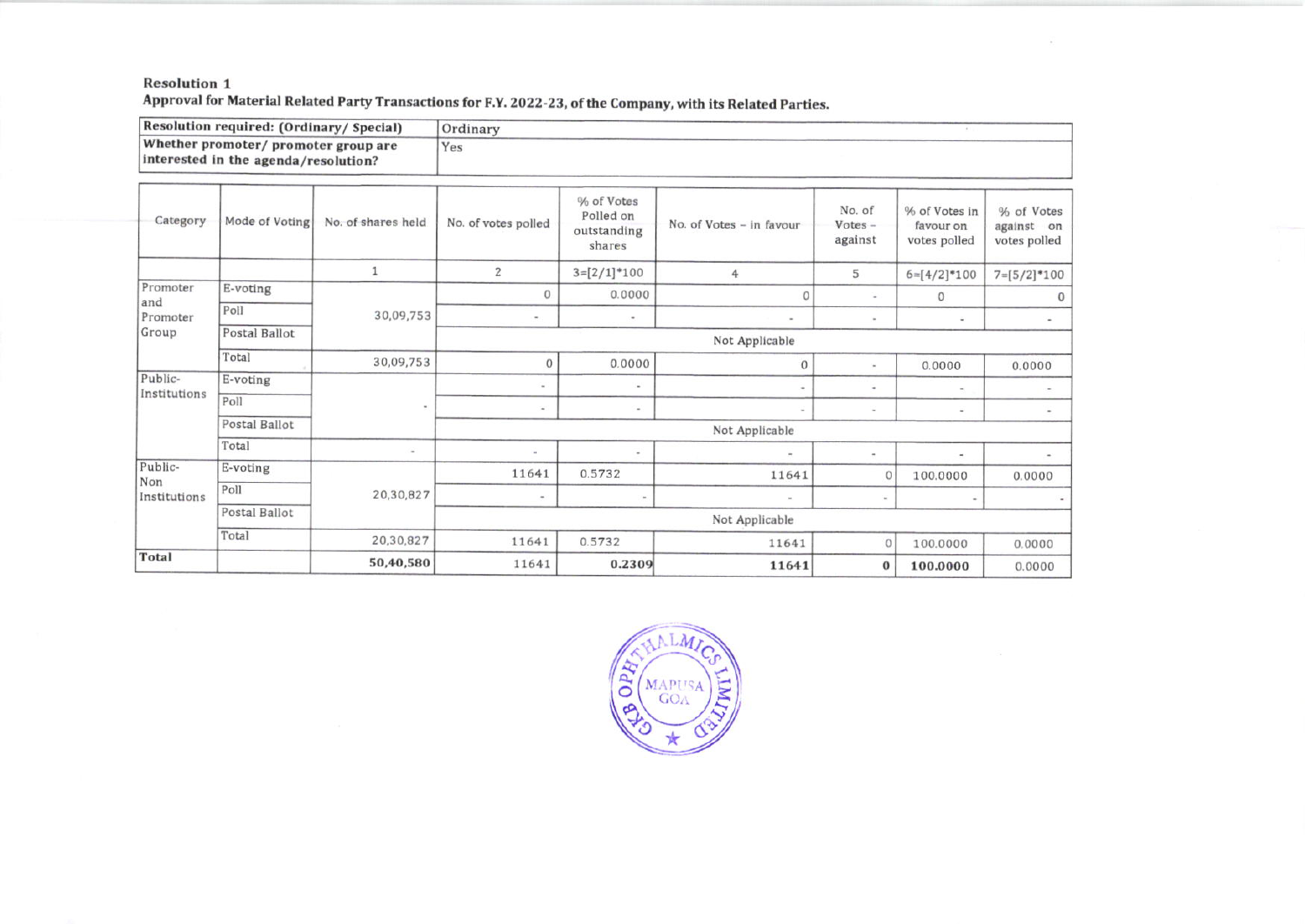## **Resolution 1** Approval for Material Related Party Transactions for F.Y. 2022-23, of the Company, with its Related Parties.

Resolution required: (Ordinary/ Special) Ordinary Whether promoter/ promoter group are Yes interested in the agenda/resolution?

×

| % of Votes<br>No. of<br>% of Votes in<br>Polled on<br>Category<br>Mode of Voting<br>No. of shares held<br>No. of votes polled<br>No. of Votes - in favour<br>$Votes -$<br>favour on<br>outstanding<br>against<br>votes polled<br>shares<br>2<br>$3=[2/1]*100$<br>5<br>4<br>$6=[4/2]*100$<br>Promoter<br>E-voting<br>$\theta$<br>0.0000<br>0<br>$\mathbf{0}$<br>$\sim$<br>and<br>Poll<br>30,09,753<br>Promoter<br>$\sim$<br>$\sim$<br>$\omega$<br>$\blacksquare$<br>$\blacksquare$<br>Group<br>Postal Ballot<br>Not Applicable<br>Total<br>30,09,753<br>0.0000<br>O<br>$\theta$<br>0.0000<br>Public-<br>E-voting<br>$\sim$<br>$\sim$<br>۰<br>$\sim$<br>Institutions<br>Poll<br>$\,$<br>$\sim$<br>$\omega$<br>$\sim$<br>×.<br>$\sim$<br>Postal Ballot<br>Not Applicable<br>Total<br>$\sim$<br>$\sim$<br>$\sim$<br>$\sim$<br>$\overline{\phantom{a}}$<br>٠<br>Public-<br>E-voting<br>11641<br>0.5732<br>11641<br>100.0000<br>$\circ$<br>Non<br>Poll<br>20,30,827<br>Institutions<br>$\,$<br>$\omega$<br>$\blacksquare$<br>Postal Ballot<br>Not Applicable<br>Total<br>20,30,827<br>11641<br>0.5732<br>11641<br>$\mathbf{0}$<br>100.0000 |              |  |  |  |  |  |  |  |                                          |  |
|--------------------------------------------------------------------------------------------------------------------------------------------------------------------------------------------------------------------------------------------------------------------------------------------------------------------------------------------------------------------------------------------------------------------------------------------------------------------------------------------------------------------------------------------------------------------------------------------------------------------------------------------------------------------------------------------------------------------------------------------------------------------------------------------------------------------------------------------------------------------------------------------------------------------------------------------------------------------------------------------------------------------------------------------------------------------------------------------------------------------------------------|--------------|--|--|--|--|--|--|--|------------------------------------------|--|
|                                                                                                                                                                                                                                                                                                                                                                                                                                                                                                                                                                                                                                                                                                                                                                                                                                                                                                                                                                                                                                                                                                                                      |              |  |  |  |  |  |  |  | % of Votes<br>against on<br>votes polled |  |
|                                                                                                                                                                                                                                                                                                                                                                                                                                                                                                                                                                                                                                                                                                                                                                                                                                                                                                                                                                                                                                                                                                                                      |              |  |  |  |  |  |  |  | $7=[5/2]*100$                            |  |
|                                                                                                                                                                                                                                                                                                                                                                                                                                                                                                                                                                                                                                                                                                                                                                                                                                                                                                                                                                                                                                                                                                                                      |              |  |  |  |  |  |  |  | $\mathbf{0}$                             |  |
|                                                                                                                                                                                                                                                                                                                                                                                                                                                                                                                                                                                                                                                                                                                                                                                                                                                                                                                                                                                                                                                                                                                                      |              |  |  |  |  |  |  |  |                                          |  |
|                                                                                                                                                                                                                                                                                                                                                                                                                                                                                                                                                                                                                                                                                                                                                                                                                                                                                                                                                                                                                                                                                                                                      |              |  |  |  |  |  |  |  |                                          |  |
|                                                                                                                                                                                                                                                                                                                                                                                                                                                                                                                                                                                                                                                                                                                                                                                                                                                                                                                                                                                                                                                                                                                                      |              |  |  |  |  |  |  |  | 0.0000                                   |  |
|                                                                                                                                                                                                                                                                                                                                                                                                                                                                                                                                                                                                                                                                                                                                                                                                                                                                                                                                                                                                                                                                                                                                      |              |  |  |  |  |  |  |  |                                          |  |
|                                                                                                                                                                                                                                                                                                                                                                                                                                                                                                                                                                                                                                                                                                                                                                                                                                                                                                                                                                                                                                                                                                                                      |              |  |  |  |  |  |  |  |                                          |  |
|                                                                                                                                                                                                                                                                                                                                                                                                                                                                                                                                                                                                                                                                                                                                                                                                                                                                                                                                                                                                                                                                                                                                      |              |  |  |  |  |  |  |  |                                          |  |
|                                                                                                                                                                                                                                                                                                                                                                                                                                                                                                                                                                                                                                                                                                                                                                                                                                                                                                                                                                                                                                                                                                                                      |              |  |  |  |  |  |  |  |                                          |  |
|                                                                                                                                                                                                                                                                                                                                                                                                                                                                                                                                                                                                                                                                                                                                                                                                                                                                                                                                                                                                                                                                                                                                      |              |  |  |  |  |  |  |  | 0.0000                                   |  |
|                                                                                                                                                                                                                                                                                                                                                                                                                                                                                                                                                                                                                                                                                                                                                                                                                                                                                                                                                                                                                                                                                                                                      |              |  |  |  |  |  |  |  | $\sim$                                   |  |
|                                                                                                                                                                                                                                                                                                                                                                                                                                                                                                                                                                                                                                                                                                                                                                                                                                                                                                                                                                                                                                                                                                                                      |              |  |  |  |  |  |  |  |                                          |  |
|                                                                                                                                                                                                                                                                                                                                                                                                                                                                                                                                                                                                                                                                                                                                                                                                                                                                                                                                                                                                                                                                                                                                      |              |  |  |  |  |  |  |  | 0.0000                                   |  |
| 50,40,580<br>11641<br>0.2309<br>11641<br>$\bf{0}$<br>100.0000                                                                                                                                                                                                                                                                                                                                                                                                                                                                                                                                                                                                                                                                                                                                                                                                                                                                                                                                                                                                                                                                        | <b>Total</b> |  |  |  |  |  |  |  | 0.0000                                   |  |

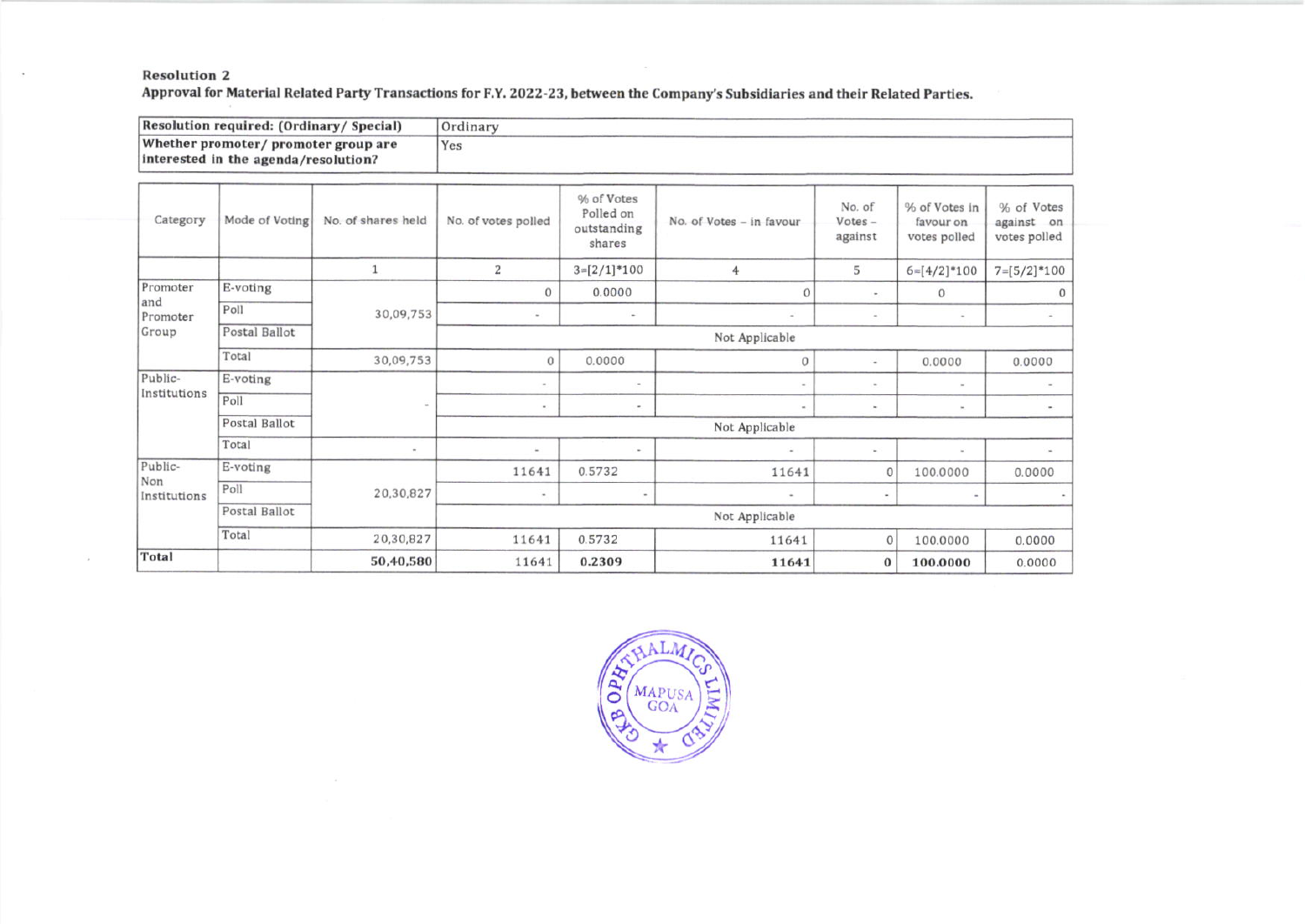## **Resolution 2**

 $\sim$ 

9

Approval for Material Related Party Transactions for F.Y. 2022-23, between the Company's Subsidiaries and their Related Parties.

| Resolution required: (Ordinary/ Special)                                     |                |                    | Ordinary                 |                                                  |                          |                                |                                            |                                          |
|------------------------------------------------------------------------------|----------------|--------------------|--------------------------|--------------------------------------------------|--------------------------|--------------------------------|--------------------------------------------|------------------------------------------|
| Whether promoter/ promoter group are<br>interested in the agenda/resolution? |                |                    | Yes                      |                                                  |                          |                                |                                            |                                          |
| Category                                                                     | Mode of Voting | No. of shares held | No. of votes polled      | % of Votes<br>Polled on<br>outstanding<br>shares | No. of Votes - in favour | No. of<br>$Votes -$<br>against | % of Votes in<br>favour on<br>votes polled | % of Votes<br>against on<br>votes polled |
|                                                                              |                |                    | $\overline{2}$           | $3=[2/1]*100$                                    | $\overline{4}$           | 5                              | $6=[4/2]*100$                              | $7=[5/2]*100$                            |
| Promoter                                                                     | E-voting       | 30,09,753          | $\mathbf{0}$             | 0.0000                                           | $\Omega$                 | $\sim$                         | $\Omega$                                   | $\Omega$                                 |
| and<br>Promoter                                                              | Poll           |                    | $\sim$                   | $\sim$                                           | $\overline{\phantom{a}}$ | $\tilde{\phantom{a}}$          | $\sim$                                     |                                          |
| Group                                                                        | Postal Ballot  |                    | Not Applicable           |                                                  |                          |                                |                                            |                                          |
|                                                                              | Total          | 30,09,753          | 0                        | 0.0000                                           | $\circ$                  | $\sim$                         | 0.0000                                     | 0.0000                                   |
| Public-<br>Institutions                                                      | E-voting       |                    |                          | $\sim$                                           |                          |                                | $\sim$                                     |                                          |
|                                                                              | Poll           |                    | $\sim$                   | $\sim$                                           | Total C                  | $\sim$                         | ×.                                         | $\overline{\phantom{a}}$                 |
|                                                                              | Postal Ballot  |                    | Not Applicable           |                                                  |                          |                                |                                            |                                          |
|                                                                              | Total          | $\,$               | $\sim$                   | $\sim$                                           | ٠                        | $\sim$                         | $\sim$                                     | $\sim$                                   |
| Public-<br>Non<br>Institutions                                               | E-voting       | 20,30,827          | 11641                    | 0.5732                                           | 11641                    | $\circ$                        | 100.0000                                   | 0.0000                                   |
|                                                                              | Poll           |                    | $\overline{\phantom{a}}$ | $\overline{\phantom{a}}$                         | $\sim$                   |                                |                                            |                                          |
|                                                                              | Postal Ballot  |                    | Not Applicable           |                                                  |                          |                                |                                            |                                          |
|                                                                              | Total          | 20,30,827          | 11641                    | 0.5732                                           | 11641                    | 0                              | 100.0000                                   | 0.0000                                   |
| Total                                                                        |                | 50,40,580          | 11641                    | 0.2309                                           | 11641                    | $\bf{0}$                       | 100.0000                                   | 0.0000                                   |

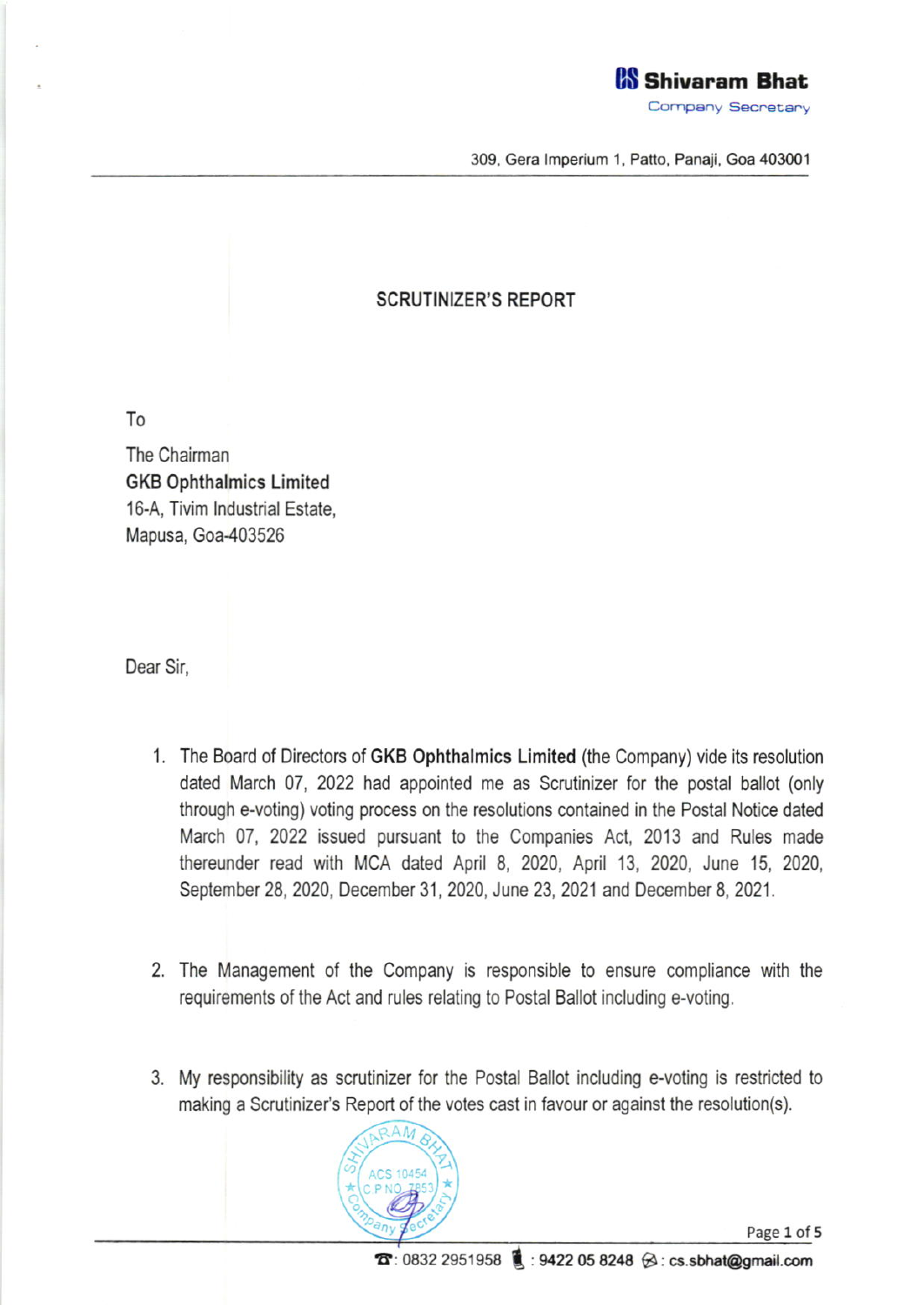

309, Gera Imperium 1, Patto, Panaji, Goa 403001

## SCRUTINIZER'S REPORT

To

The Chairman GKB 0phthalmics Limited 16-A, Tivim lndustrial Estate, Mapusa, Goa-403526

Dear Sir,

- 1. The Board of Directors of GKB Ophthalmics Limited (the Company) vide its resolution dated March 07, 2022 had appointed me as Scrutinizer for the postal ballot (only through e-voting) voting process on the resolutions contained in the Postal Notice dated March 07, 2022 issued pursuant to the Companies Act, 2013 and Rules made thereunder read with MCA dated April 8, 2020, April 13, 2020, June 15, 2020, September 28, 2020, December 31, 2020, June 23, 2021 and December 8, 2021.
- The Management of the Company is responsible to ensure compliance with the requirements of the Act and rules relating to Postal Ballot including e-voting.
- 3. My responsibility as scrutinizer for the Postal Ballot including e-voting is restricted to making a Scrutinizer's Report of the votes cast in favour or against the resolution(s).

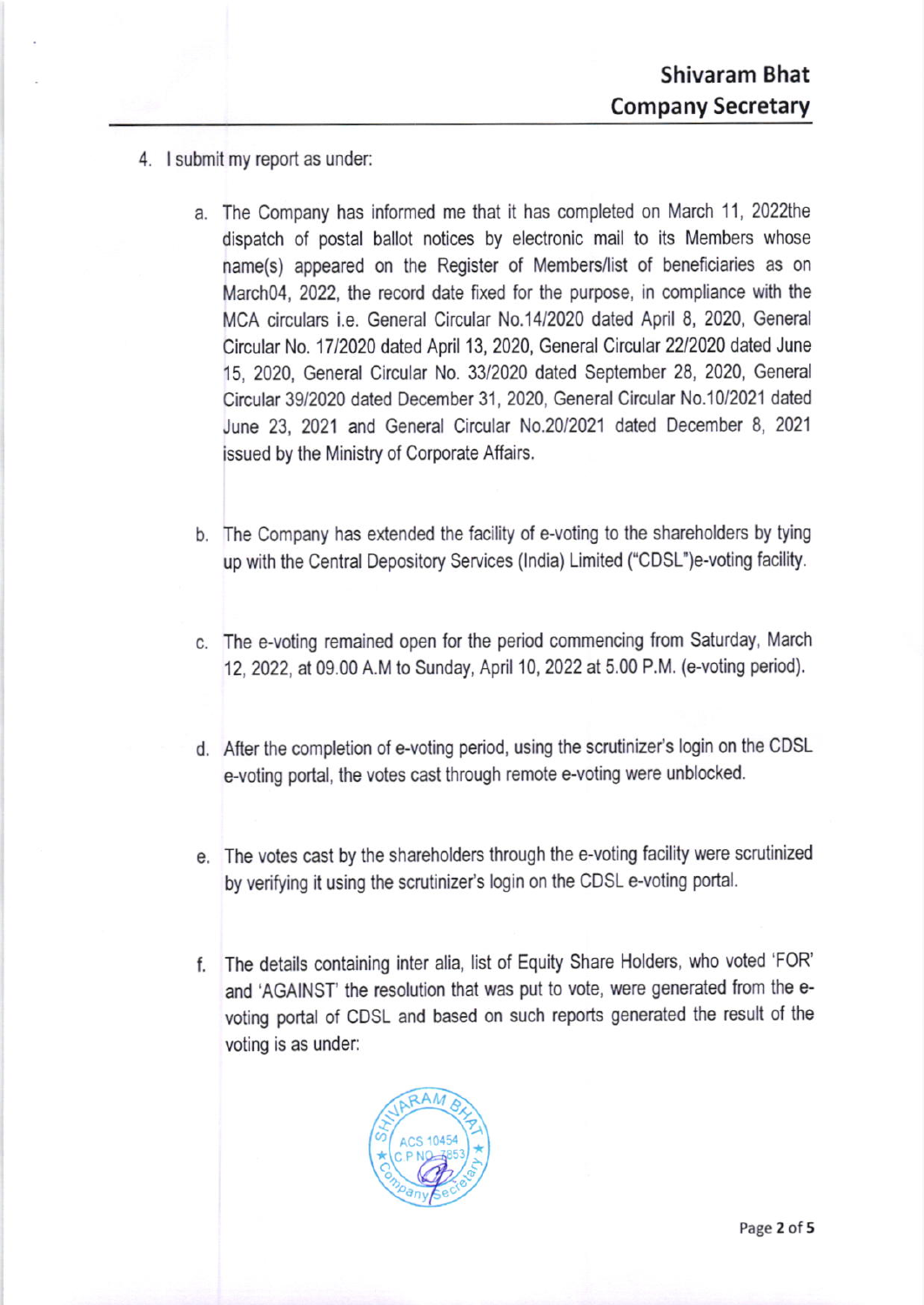- 4, I submit my report as under;
	- a. The Company has informed me that it has completed on March 11, 2022the dispatch of postal ballot notices by electronic mail to its Members whose name(s) appeared on the Register of Members/list of beneficiaries as on March<sub>04</sub>, 2022, the record date fixed for the purpose, in compliance with the MCA circulars i.e. General Circular N0.14l2020 dated April 8,2020, General Circular No. 17/2020 dated April 13, 2020, General Circular 22/2020 dated June 15, 2020, General Circular No. 33/2020 dated September 28, 2020, General Circular 39/2020 dated December 31, 2020, General Circular No.10/2021 dated June 23, 2021 and General Circular N0.20/2021 dated December 8, <sup>2021</sup> issued by the Ministry of Corporate Affairs.
	- b. The Company has extended the facility of e-voting to the shareholders by tying up with the Central Depository Services (lndia) Limited ("CDsl")e-voting facility.
	- c. The e-voting remained open for the period commencing from Saturday, March '12, 2022, at 09.00 A.M to Sunday, April 10, 2022 at 5.00 P.M. (e-voting period).
	- d. After the completion of e-voting period, using the scrutinizer's login on the CDSL e-voting portal, the votes cast through remote e-voting were unblocked
	- e. The votes cast by the shareholders through the e-voting facility were scrutinized by verifying it using the scrutinizer's login on the CDSL e-voting portal.
	- l. The details containlng inter alia, list of Equity Share Holders, who voted'FoR' and 'AGAINST' the resolution that was put to vote, were generated from the evoting portal of CDSL and based on such reports generated the result of lhe voting is as under: